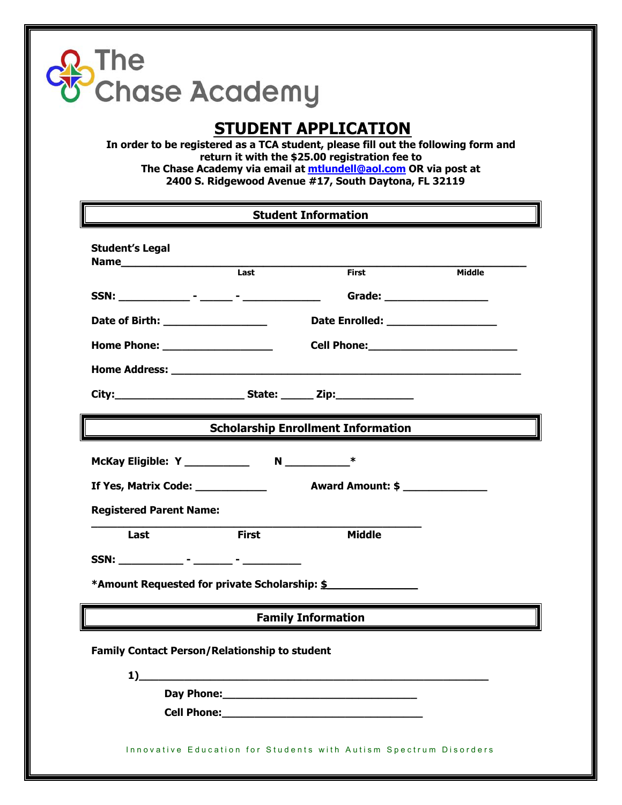## The<br>Chase Academy

## **STUDENT APPLICATION**

**In order to be registered as a TCA student, please fill out the following form and return it with the \$25.00 registration fee to The Chase Academy via email at mtlundell@aol.com OR via post at 2400 S. Ridgewood Avenue #17, South Daytona, FL 32119**

| <b>Student Information</b>                                                                                                                          |              |                                           |        |  |
|-----------------------------------------------------------------------------------------------------------------------------------------------------|--------------|-------------------------------------------|--------|--|
| <b>Student's Legal</b>                                                                                                                              |              |                                           |        |  |
|                                                                                                                                                     | Last         | <b>First</b>                              | Middle |  |
|                                                                                                                                                     |              | Grade: __________________                 |        |  |
| Date of Birth: __________________                                                                                                                   |              | Date Enrolled: ____________________       |        |  |
| Home Phone: ___________________                                                                                                                     |              |                                           |        |  |
|                                                                                                                                                     |              |                                           |        |  |
|                                                                                                                                                     |              |                                           |        |  |
|                                                                                                                                                     |              | <b>Scholarship Enrollment Information</b> |        |  |
|                                                                                                                                                     |              |                                           |        |  |
|                                                                                                                                                     |              |                                           |        |  |
| <b>Registered Parent Name:</b>                                                                                                                      |              |                                           |        |  |
| Last                                                                                                                                                | <b>First</b> | <b>Middle</b>                             |        |  |
|                                                                                                                                                     |              |                                           |        |  |
| *Amount Requested for private Scholarship: \$                                                                                                       |              |                                           |        |  |
| <b>Family Information</b><br><u> 1989 - Jan James James Jan James James James James James James James James James James James James James James</u> |              |                                           |        |  |
| <b>Family Contact Person/Relationship to student</b>                                                                                                |              |                                           |        |  |
| 1)<br><u> 1989 - Johann Barbara, martxa alemaniar argumento de la contrada de la contrada de la contrada de la contrad</u>                          |              |                                           |        |  |
|                                                                                                                                                     |              |                                           |        |  |
|                                                                                                                                                     |              |                                           |        |  |
| Innovative Education for Students with Autism Spectrum Disorders                                                                                    |              |                                           |        |  |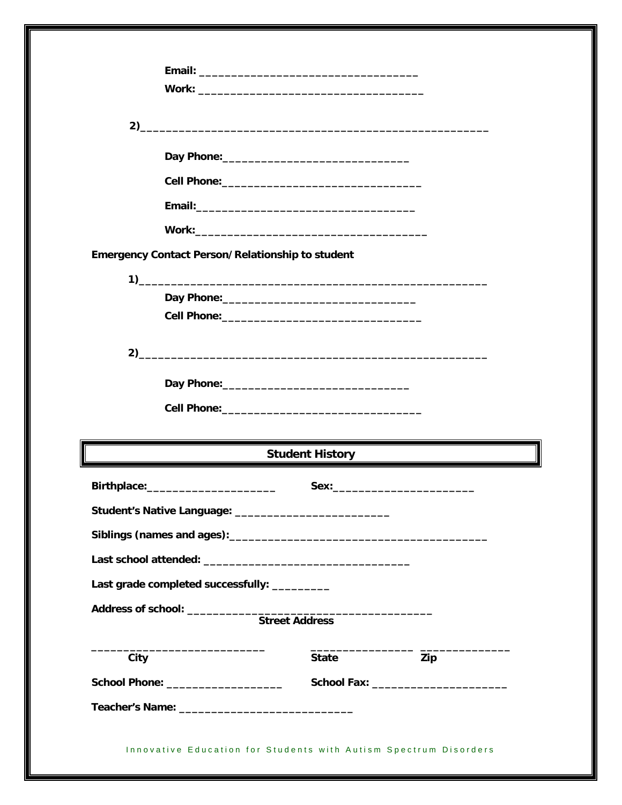|      |                                                  | $2)$ and $2)$ and $2)$ and $2)$ and $2)$ and $2)$ and $2)$ and $2)$ and $2)$ and $2)$ and $2)$ and $2)$ and $2)$ and $2)$ and $2)$ and $2)$ and $2)$ and $2)$ and $2)$ and $2)$ and $2)$ and $2)$ and $2)$ and $2)$ and $2)$     |     |  |
|------|--------------------------------------------------|----------------------------------------------------------------------------------------------------------------------------------------------------------------------------------------------------------------------------------|-----|--|
|      |                                                  |                                                                                                                                                                                                                                  |     |  |
|      |                                                  |                                                                                                                                                                                                                                  |     |  |
|      |                                                  |                                                                                                                                                                                                                                  |     |  |
|      |                                                  |                                                                                                                                                                                                                                  |     |  |
|      |                                                  |                                                                                                                                                                                                                                  |     |  |
|      | Emergency Contact Person/Relationship to student |                                                                                                                                                                                                                                  |     |  |
|      |                                                  |                                                                                                                                                                                                                                  |     |  |
|      |                                                  |                                                                                                                                                                                                                                  |     |  |
|      |                                                  |                                                                                                                                                                                                                                  |     |  |
|      |                                                  |                                                                                                                                                                                                                                  |     |  |
|      |                                                  |                                                                                                                                                                                                                                  |     |  |
|      |                                                  |                                                                                                                                                                                                                                  |     |  |
|      |                                                  | Student History<br>The Communication of the Communication of the Communication of the Communication of the Communication of the Communication of the Communication of the Communication of the Communication of the Communicatio |     |  |
|      | Birthplace:__________________________            |                                                                                                                                                                                                                                  |     |  |
|      |                                                  | Student's Native Language: ______________________________                                                                                                                                                                        |     |  |
|      |                                                  |                                                                                                                                                                                                                                  |     |  |
|      |                                                  |                                                                                                                                                                                                                                  |     |  |
|      | Last grade completed successfully: _________     |                                                                                                                                                                                                                                  |     |  |
|      |                                                  |                                                                                                                                                                                                                                  |     |  |
|      |                                                  |                                                                                                                                                                                                                                  |     |  |
| City |                                                  | <b>State</b>                                                                                                                                                                                                                     | Zip |  |
|      | School Phone: _____________________              |                                                                                                                                                                                                                                  |     |  |
|      |                                                  |                                                                                                                                                                                                                                  |     |  |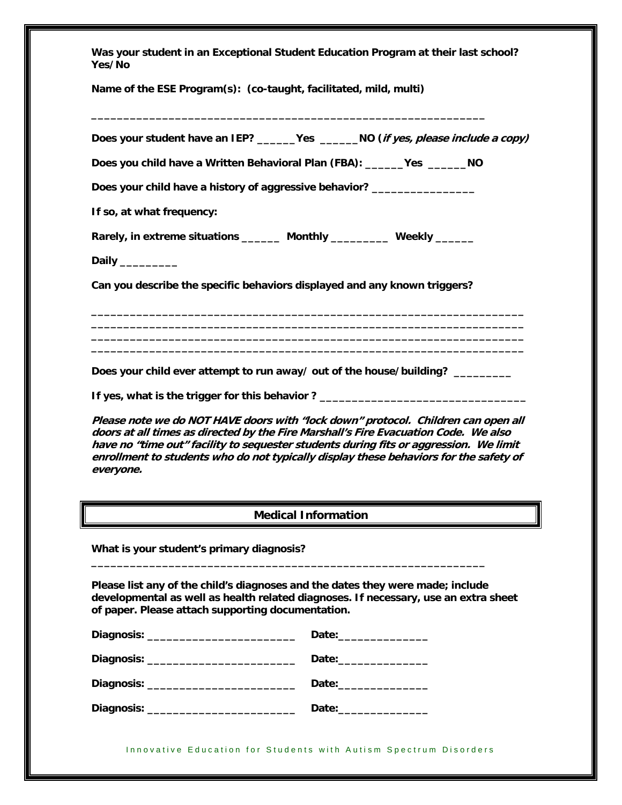| Was your student in an Exceptional Student Education Program at their last school?<br>Yes/No                                        |                                                                                                                                                                                                                                                                                                                                                            |  |  |
|-------------------------------------------------------------------------------------------------------------------------------------|------------------------------------------------------------------------------------------------------------------------------------------------------------------------------------------------------------------------------------------------------------------------------------------------------------------------------------------------------------|--|--|
| Name of the ESE Program(s): (co-taught, facilitated, mild, multi)                                                                   |                                                                                                                                                                                                                                                                                                                                                            |  |  |
|                                                                                                                                     | Does your student have an IEP? _______Yes _______NO (if yes, please include a copy)                                                                                                                                                                                                                                                                        |  |  |
| Does you child have a Written Behavioral Plan (FBA): ______Yes _______NO                                                            |                                                                                                                                                                                                                                                                                                                                                            |  |  |
| Does your child have a history of aggressive behavior? __________________                                                           |                                                                                                                                                                                                                                                                                                                                                            |  |  |
| If so, at what frequency:                                                                                                           |                                                                                                                                                                                                                                                                                                                                                            |  |  |
| Rarely, in extreme situations _______ Monthly _________ Weekly ______                                                               |                                                                                                                                                                                                                                                                                                                                                            |  |  |
| Daily ________<br>Can you describe the specific behaviors displayed and any known triggers?                                         |                                                                                                                                                                                                                                                                                                                                                            |  |  |
|                                                                                                                                     |                                                                                                                                                                                                                                                                                                                                                            |  |  |
|                                                                                                                                     |                                                                                                                                                                                                                                                                                                                                                            |  |  |
|                                                                                                                                     | Does your child ever attempt to run away/ out of the house/building? _________                                                                                                                                                                                                                                                                             |  |  |
|                                                                                                                                     | If yes, what is the trigger for this behavior? _________________________________                                                                                                                                                                                                                                                                           |  |  |
| everyone.                                                                                                                           | Please note we do NOT HAVE doors with "lock down" protocol. Children can open all<br>doors at all times as directed by the Fire Marshall's Fire Evacuation Code. We also<br>have no "time out" facility to sequester students during fits or aggression. We limit<br>enrollment to students who do not typically display these behaviors for the safety of |  |  |
|                                                                                                                                     | <b>Medical Information</b>                                                                                                                                                                                                                                                                                                                                 |  |  |
| What is your student's primary diagnosis?                                                                                           |                                                                                                                                                                                                                                                                                                                                                            |  |  |
| Please list any of the child's diagnoses and the dates they were made; include<br>of paper. Please attach supporting documentation. | developmental as well as health related diagnoses. If necessary, use an extra sheet                                                                                                                                                                                                                                                                        |  |  |
|                                                                                                                                     | Date: ________________                                                                                                                                                                                                                                                                                                                                     |  |  |
|                                                                                                                                     |                                                                                                                                                                                                                                                                                                                                                            |  |  |
|                                                                                                                                     |                                                                                                                                                                                                                                                                                                                                                            |  |  |
| Diagnosis: _______________________________<br>Date:________________                                                                 |                                                                                                                                                                                                                                                                                                                                                            |  |  |

Innovative Education for Students with Autism Spectrum Disorders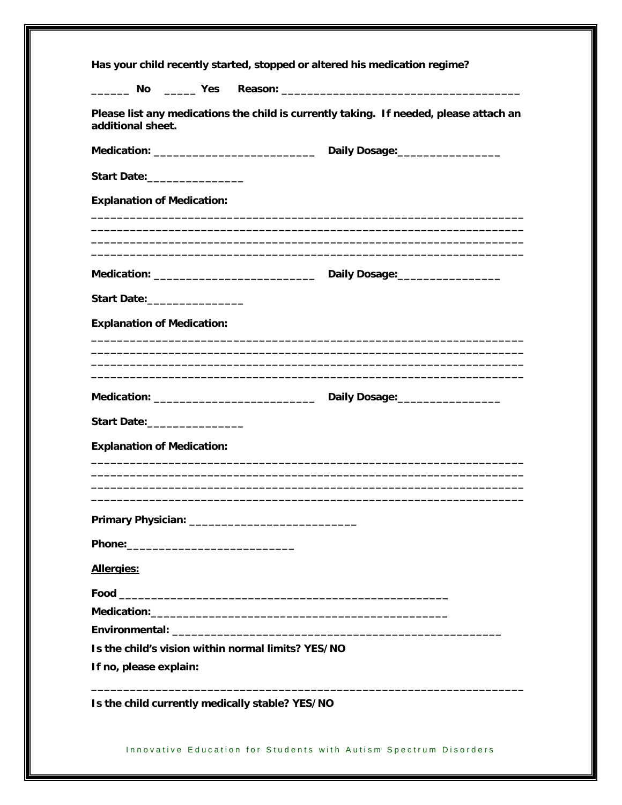|                                                                              | Has your child recently started, stopped or altered his medication regime?             |  |
|------------------------------------------------------------------------------|----------------------------------------------------------------------------------------|--|
|                                                                              |                                                                                        |  |
| additional sheet.                                                            | Please list any medications the child is currently taking. If needed, please attach an |  |
|                                                                              | Daily Dosage:___________________                                                       |  |
| Start Date:__________________                                                |                                                                                        |  |
| <b>Explanation of Medication:</b>                                            |                                                                                        |  |
|                                                                              |                                                                                        |  |
|                                                                              |                                                                                        |  |
| Start Date:_________________                                                 |                                                                                        |  |
| <b>Explanation of Medication:</b>                                            |                                                                                        |  |
|                                                                              |                                                                                        |  |
|                                                                              |                                                                                        |  |
| Start Date:_________________                                                 |                                                                                        |  |
| <b>Explanation of Medication:</b>                                            |                                                                                        |  |
|                                                                              |                                                                                        |  |
|                                                                              |                                                                                        |  |
|                                                                              |                                                                                        |  |
|                                                                              |                                                                                        |  |
| Allergies:                                                                   |                                                                                        |  |
|                                                                              |                                                                                        |  |
|                                                                              |                                                                                        |  |
|                                                                              |                                                                                        |  |
| Is the child's vision within normal limits? YES/NO<br>If no, please explain: |                                                                                        |  |
| Is the child currently medically stable? YES/NO                              |                                                                                        |  |

Innovative Education for Students with Autism Spectrum Disorders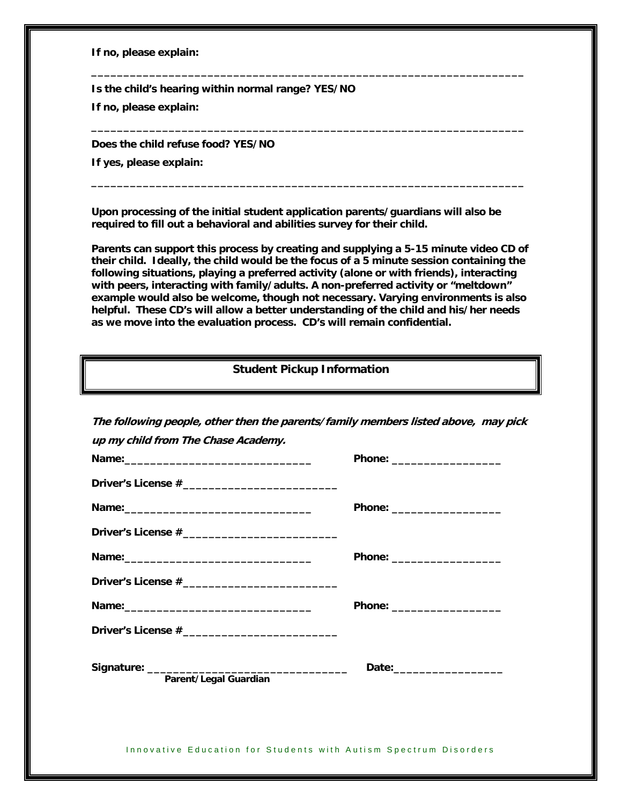**If no, please explain:** 

**Is the child's hearing within normal range? YES/NO** 

**If no, please explain:** 

**Does the child refuse food? YES/NO** 

**If yes, please explain:** 

**Upon processing of the initial student application parents/guardians will also be required to fill out a behavioral and abilities survey for their child.** 

**\_\_\_\_\_\_\_\_\_\_\_\_\_\_\_\_\_\_\_\_\_\_\_\_\_\_\_\_\_\_\_\_\_\_\_\_\_\_\_\_\_\_\_\_\_\_\_\_\_\_\_\_\_\_\_\_\_\_\_\_\_\_\_\_\_\_\_** 

**\_\_\_\_\_\_\_\_\_\_\_\_\_\_\_\_\_\_\_\_\_\_\_\_\_\_\_\_\_\_\_\_\_\_\_\_\_\_\_\_\_\_\_\_\_\_\_\_\_\_\_\_\_\_\_\_\_\_\_\_\_\_\_\_\_\_\_** 

**\_\_\_\_\_\_\_\_\_\_\_\_\_\_\_\_\_\_\_\_\_\_\_\_\_\_\_\_\_\_\_\_\_\_\_\_\_\_\_\_\_\_\_\_\_\_\_\_\_\_\_\_\_\_\_\_\_\_\_\_\_\_\_\_\_\_\_** 

**Parents can support this process by creating and supplying a 5-15 minute video CD of their child. Ideally, the child would be the focus of a 5 minute session containing the following situations, playing a preferred activity (alone or with friends), interacting with peers, interacting with family/adults. A non-preferred activity or "meltdown" example would also be welcome, though not necessary. Varying environments is also helpful. These CD's will allow a better understanding of the child and his/her needs as we move into the evaluation process. CD's will remain confidential.** 

## **Student Pickup Information**

| up my child from The Chase Academy.                              |                              |
|------------------------------------------------------------------|------------------------------|
|                                                                  |                              |
|                                                                  | Phone: _____________________ |
|                                                                  |                              |
|                                                                  |                              |
|                                                                  |                              |
|                                                                  |                              |
|                                                                  |                              |
| Parent/Legal Guardian                                            |                              |
|                                                                  |                              |
| Innovative Education for Students with Autism Spectrum Disorders |                              |